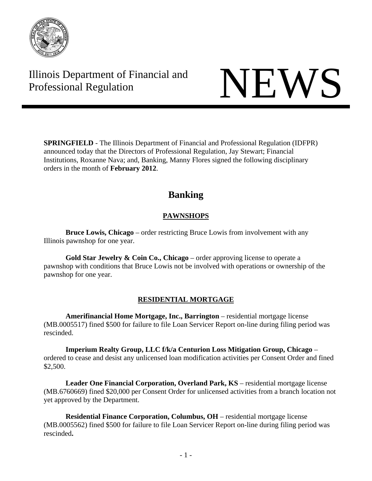

# Illinois Department of Financial and Illinois Department of Financial and<br>Professional Regulation

**SPRINGFIELD** - The Illinois Department of Financial and Professional Regulation (IDFPR) announced today that the Directors of Professional Regulation, Jay Stewart; Financial Institutions, Roxanne Nava; and, Banking, Manny Flores signed the following disciplinary orders in the month of **February 2012**.

# **Banking**

# **PAWNSHOPS**

**Bruce Lowis, Chicago** – order restricting Bruce Lowis from involvement with any Illinois pawnshop for one year.

**Gold Star Jewelry & Coin Co., Chicago** – order approving license to operate a pawnshop with conditions that Bruce Lowis not be involved with operations or ownership of the pawnshop for one year.

# **RESIDENTIAL MORTGAGE**

**Amerifinancial Home Mortgage, Inc., Barrington** – residential mortgage license (MB.0005517) fined \$500 for failure to file Loan Servicer Report on-line during filing period was rescinded.

**Imperium Realty Group, LLC f/k/a Centurion Loss Mitigation Group, Chicago** – ordered to cease and desist any unlicensed loan modification activities per Consent Order and fined \$2,500.

**Leader One Financial Corporation, Overland Park, KS** – residential mortgage license (MB.6760669) fined \$20,000 per Consent Order for unlicensed activities from a branch location not yet approved by the Department.

**Residential Finance Corporation, Columbus, OH** – residential mortgage license (MB.0005562) fined \$500 for failure to file Loan Servicer Report on-line during filing period was rescinded**.**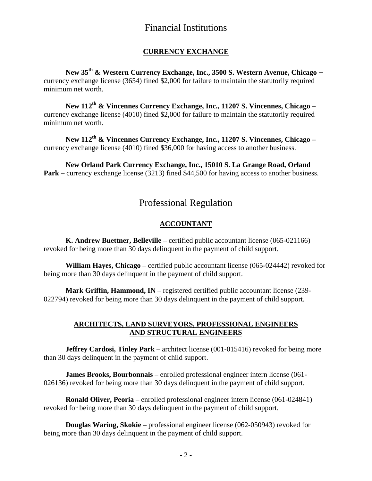# Financial Institutions

# **CURRENCY EXCHANGE**

**New 35th & Western Currency Exchange, Inc., 3500 S. Western Avenue, Chicago –**  currency exchange license (3654) fined \$2,000 for failure to maintain the statutorily required minimum net worth.

**New 112th & Vincennes Currency Exchange, Inc., 11207 S. Vincennes, Chicago –**  currency exchange license (4010) fined \$2,000 for failure to maintain the statutorily required minimum net worth.

**New 112th & Vincennes Currency Exchange, Inc., 11207 S. Vincennes, Chicago –**  currency exchange license (4010) fined \$36,000 for having access to another business.

**New Orland Park Currency Exchange, Inc., 15010 S. La Grange Road, Orland Park** – currency exchange license (3213) fined \$44,500 for having access to another business.

# Professional Regulation

# **ACCOUNTANT**

 **K. Andrew Buettner, Belleville** – certified public accountant license (065-021166) revoked for being more than 30 days delinquent in the payment of child support.

 **William Hayes, Chicago** – certified public accountant license (065-024442) revoked for being more than 30 days delinquent in the payment of child support.

 **Mark Griffin, Hammond, IN** – registered certified public accountant license (239- 022794) revoked for being more than 30 days delinquent in the payment of child support.

### **ARCHITECTS, LAND SURVEYORS, PROFESSIONAL ENGINEERS AND STRUCTURAL ENGINEERS**

**Jeffrey Cardosi, Tinley Park** – architect license (001-015416) revoked for being more than 30 days delinquent in the payment of child support.

 **James Brooks, Bourbonnais** – enrolled professional engineer intern license (061- 026136) revoked for being more than 30 days delinquent in the payment of child support.

 **Ronald Oliver, Peoria** – enrolled professional engineer intern license (061-024841) revoked for being more than 30 days delinquent in the payment of child support.

**Douglas Waring, Skokie** – professional engineer license (062-050943) revoked for being more than 30 days delinquent in the payment of child support.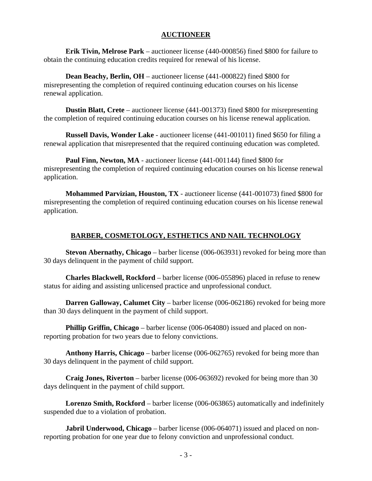#### **AUCTIONEER**

 **Erik Tivin, Melrose Park** – auctioneer license (440-000856) fined \$800 for failure to obtain the continuing education credits required for renewal of his license.

**Dean Beachy, Berlin, OH** – auctioneer license (441-000822) fined \$800 for misrepresenting the completion of required continuing education courses on his license renewal application.

 **Dustin Blatt, Crete** – auctioneer license (441-001373) fined \$800 for misrepresenting the completion of required continuing education courses on his license renewal application.

 **Russell Davis, Wonder Lake** - auctioneer license (441-001011) fined \$650 for filing a renewal application that misrepresented that the required continuing education was completed.

 **Paul Finn, Newton, MA** - auctioneer license (441-001144) fined \$800 for misrepresenting the completion of required continuing education courses on his license renewal application.

 **Mohammed Parvizian, Houston, TX** - auctioneer license (441-001073) fined \$800 for misrepresenting the completion of required continuing education courses on his license renewal application.

# **BARBER, COSMETOLOGY, ESTHETICS AND NAIL TECHNOLOGY**

 **Stevon Abernathy, Chicago** – barber license (006-063931) revoked for being more than 30 days delinquent in the payment of child support.

 **Charles Blackwell, Rockford** – barber license (006-055896) placed in refuse to renew status for aiding and assisting unlicensed practice and unprofessional conduct.

**Darren Galloway, Calumet City** – barber license (006-062186) revoked for being more than 30 days delinquent in the payment of child support.

 **Phillip Griffin, Chicago** – barber license (006-064080) issued and placed on nonreporting probation for two years due to felony convictions.

 **Anthony Harris, Chicago** – barber license (006-062765) revoked for being more than 30 days delinquent in the payment of child support.

 **Craig Jones, Riverton** – barber license (006-063692) revoked for being more than 30 days delinquent in the payment of child support.

 **Lorenzo Smith, Rockford** – barber license (006-063865) automatically and indefinitely suspended due to a violation of probation.

 **Jabril Underwood, Chicago** – barber license (006-064071) issued and placed on nonreporting probation for one year due to felony conviction and unprofessional conduct.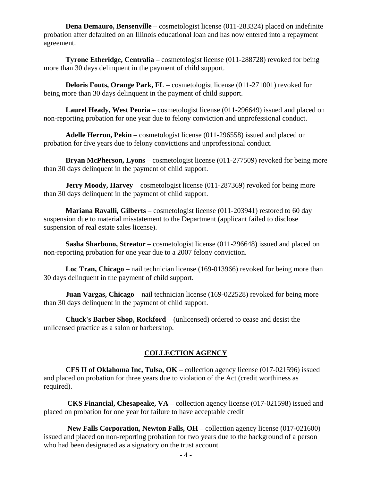**Dena Demauro, Bensenville** – cosmetologist license (011-283324) placed on indefinite probation after defaulted on an Illinois educational loan and has now entered into a repayment agreement.

 **Tyrone Etheridge, Centralia** – cosmetologist license (011-288728) revoked for being more than 30 days delinquent in the payment of child support.

**Deloris Fouts, Orange Park, FL** – cosmetologist license (011-271001) revoked for being more than 30 days delinquent in the payment of child support.

 **Laurel Heady, West Peoria** – cosmetologist license (011-296649) issued and placed on non-reporting probation for one year due to felony conviction and unprofessional conduct.

 **Adelle Herron, Pekin** – cosmetologist license (011-296558) issued and placed on probation for five years due to felony convictions and unprofessional conduct.

 **Bryan McPherson, Lyons** – cosmetologist license (011-277509) revoked for being more than 30 days delinquent in the payment of child support.

**Jerry Moody, Harvey** – cosmetologist license (011-287369) revoked for being more than 30 days delinquent in the payment of child support.

 **Mariana Ravalli, Gilberts** – cosmetologist license (011-203941) restored to 60 day suspension due to material misstatement to the Department (applicant failed to disclose suspension of real estate sales license).

 **Sasha Sharbono, Streator** – cosmetologist license (011-296648) issued and placed on non-reporting probation for one year due to a 2007 felony conviction.

 **Loc Tran, Chicago** – nail technician license (169-013966) revoked for being more than 30 days delinquent in the payment of child support.

**Juan Vargas, Chicago** – nail technician license (169-022528) revoked for being more than 30 days delinquent in the payment of child support.

 **Chuck's Barber Shop, Rockford** – (unlicensed) ordered to cease and desist the unlicensed practice as a salon or barbershop.

# **COLLECTION AGENCY**

 **CFS II of Oklahoma Inc, Tulsa, OK** – collection agency license (017-021596) issued and placed on probation for three years due to violation of the Act (credit worthiness as required).

 **CKS Financial, Chesapeake, VA** – collection agency license (017-021598) issued and placed on probation for one year for failure to have acceptable credit

 **New Falls Corporation, Newton Falls, OH** – collection agency license (017-021600) issued and placed on non-reporting probation for two years due to the background of a person who had been designated as a signatory on the trust account.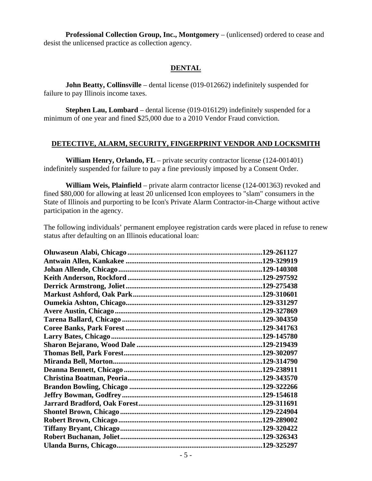**Professional Collection Group, Inc., Montgomery** – (unlicensed) ordered to cease and desist the unlicensed practice as collection agency.

#### **DENTAL**

 **John Beatty, Collinsville** – dental license (019-012662) indefinitely suspended for failure to pay Illinois income taxes.

 **Stephen Lau, Lombard** – dental license (019-016129) indefinitely suspended for a minimum of one year and fined \$25,000 due to a 2010 Vendor Fraud conviction.

#### **DETECTIVE, ALARM, SECURITY, FINGERPRINT VENDOR AND LOCKSMITH**

**William Henry, Orlando, FL** – private security contractor license (124-001401) indefinitely suspended for failure to pay a fine previously imposed by a Consent Order.

 **William Weis, Plainfield** – private alarm contractor license (124-001363) revoked and fined \$80,000 for allowing at least 20 unlicensed Icon employees to "slam" consumers in the State of Illinois and purporting to be Icon's Private Alarm Contractor-in-Charge without active participation in the agency.

The following individuals' permanent employee registration cards were placed in refuse to renew status after defaulting on an Illinois educational loan: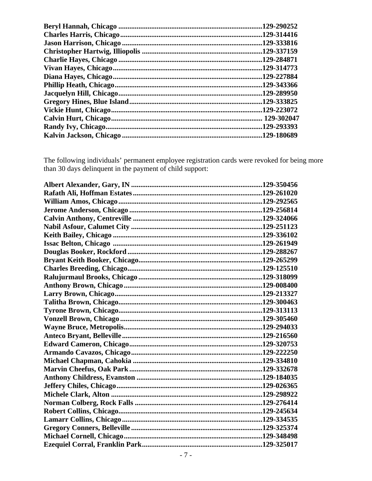| 129-290252  |
|-------------|
| .129-314416 |
| .129-333816 |
| .129-337159 |
| .129-284871 |
| .129-314773 |
| 129-227884  |
| .129-343366 |
| .129-289950 |
| .129-333825 |
| .129-223072 |
| 129-302047  |
| .129-293393 |
| .129-180689 |

The following individuals' permanent employee registration cards were revoked for being more than 30 days delinquent in the payment of child support: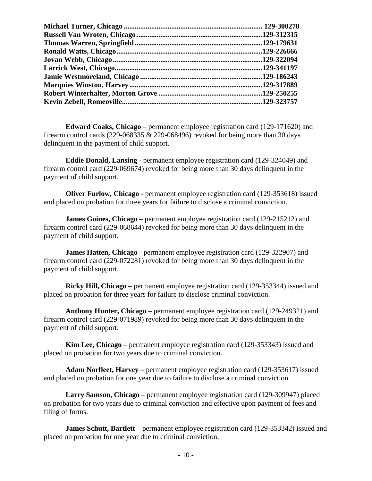**Edward Coaks, Chicago** – permanent employee registration card (129-171620) and firearm control cards  $(229-068335 \& 229-068496)$  revoked for being more than 30 days delinquent in the payment of child support.

 **Eddie Donald, Lansing** - permanent employee registration card (129-324049) and firearm control card (229-069674) revoked for being more than 30 days delinquent in the payment of child support.

 **Oliver Furlow, Chicago** - permanent employee registration card (129-353618) issued and placed on probation for three years for failure to disclose a criminal conviction.

 **James Goines, Chicago** – permanent employee registration card (129-215212) and firearm control card (229-068644) revoked for being more than 30 days delinquent in the payment of child support.

 **James Hatten, Chicago** - permanent employee registration card (129-322907) and firearm control card (229-072281) revoked for being more than 30 days delinquent in the payment of child support.

 **Ricky Hill, Chicago** – permanent employee registration card (129-353344) issued and placed on probation for three years for failure to disclose criminal conviction.

 **Anthony Hunter, Chicago** – permanent employee registration card (129-249321) and firearm control card (229-071989) revoked for being more than 30 days delinquent in the payment of child support.

 **Kim Lee, Chicago** – permanent employee registration card (129-353343) issued and placed on probation for two years due to criminal conviction.

 **Adam Norfleet, Harvey** – permanent employee registration card (129-353617) issued and placed on probation for one year due to failure to disclose a criminal conviction.

 **Larry Samson, Chicago** – permanent employee registration card (129-309947) placed on probation for two years due to criminal conviction and effective upon payment of fees and filing of forms.

 **James Schutt, Bartlett** – permanent employee registration card (129-353342) issued and placed on probation for one year due to criminal conviction.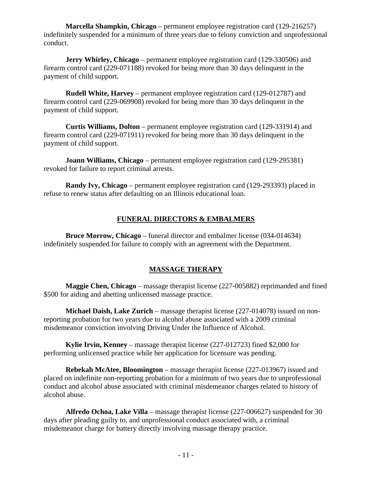**Marcella Shampkin, Chicago** – permanent employee registration card (129-216257) indefinitely suspended for a minimum of three years due to felony conviction and unprofessional conduct.

**Jerry Whirley, Chicago** – permanent employee registration card (129-330506) and firearm control card (229-071188) revoked for being more than 30 days delinquent in the payment of child support.

 **Rudell White, Harvey** – permanent employee registration card (129-012787) and firearm control card (229-069908) revoked for being more than 30 days delinquent in the payment of child support.

 **Curtis Williams, Dolton** – permanent employee registration card (129-331914) and firearm control card (229-071911) revoked for being more than 30 days delinquent in the payment of child support.

 **Joann Williams, Chicago** – permanent employee registration card (129-295381) revoked for failure to report criminal arrests.

 **Randy Ivy, Chicago** – permanent employee registration card (129-293393) placed in refuse to renew status after defaulting on an Illinois educational loan.

# **FUNERAL DIRECTORS & EMBALMERS**

 **Bruce Morrow, Chicago** – funeral director and embalmer license (034-014634) indefinitely suspended for failure to comply with an agreement with the Department.

# **MASSAGE THERAPY**

 **Maggie Chen, Chicago** – massage therapist license (227-005882) reprimanded and fined \$500 for aiding and abetting unlicensed massage practice.

 **Michael Daish, Lake Zurich** – massage therapist license (227-014078) issued on nonreporting probation for two years due to alcohol abuse associated with a 2009 criminal misdemeanor conviction involving Driving Under the Influence of Alcohol.

 **Kylie Irvin, Kenney** – massage therapist license (227-012723) fined \$2,000 for performing unlicensed practice while her application for licensure was pending.

 **Rebekah McAtee, Bloomington** – massage therapist license (227-013967) issued and placed on indefinite non-reporting probation for a minimum of two years due to unprofessional conduct and alcohol abuse associated with criminal misdemeanor charges related to history of alcohol abuse.

 **Alfredo Ochoa, Lake Villa** – massage therapist license (227-006627) suspended for 30 days after pleading guilty to, and unprofessional conduct associated with, a criminal misdemeanor charge for battery directly involving massage therapy practice.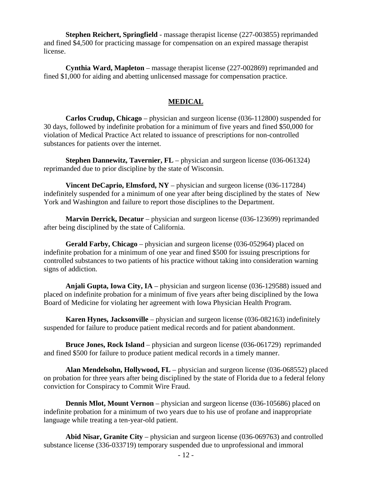**Stephen Reichert, Springfield** - massage therapist license (227-003855) reprimanded and fined \$4,500 for practicing massage for compensation on an expired massage therapist license.

 **Cynthia Ward, Mapleton** – massage therapist license (227-002869) reprimanded and fined \$1,000 for aiding and abetting unlicensed massage for compensation practice.

#### **MEDICAL**

 **Carlos Crudup, Chicago** – physician and surgeon license (036-112800) suspended for 30 days, followed by indefinite probation for a minimum of five years and fined \$50,000 for violation of Medical Practice Act related to issuance of prescriptions for non-controlled substances for patients over the internet.

**Stephen Dannewitz, Tavernier, FL** – physician and surgeon license (036-061324) reprimanded due to prior discipline by the state of Wisconsin.

**Vincent DeCaprio, Elmsford, NY** – physician and surgeon license (036-117284) indefinitely suspended for a minimum of one year after being disciplined by the states of New York and Washington and failure to report those disciplines to the Department.

**Marvin Derrick, Decatur** – physician and surgeon license (036-123699) reprimanded after being disciplined by the state of California.

 **Gerald Farby, Chicago** – physician and surgeon license (036-052964) placed on indefinite probation for a minimum of one year and fined \$500 for issuing prescriptions for controlled substances to two patients of his practice without taking into consideration warning signs of addiction.

 **Anjali Gupta, Iowa City, IA** – physician and surgeon license (036-129588) issued and placed on indefinite probation for a minimum of five years after being disciplined by the Iowa Board of Medicine for violating her agreement with Iowa Physician Health Program.

 **Karen Hynes, Jacksonville** – physician and surgeon license (036-082163) indefinitely suspended for failure to produce patient medical records and for patient abandonment.

 **Bruce Jones, Rock Island** – physician and surgeon license (036-061729) reprimanded and fined \$500 for failure to produce patient medical records in a timely manner.

 **Alan Mendelsohn, Hollywood, FL** – physician and surgeon license (036-068552) placed on probation for three years after being disciplined by the state of Florida due to a federal felony conviction for Conspiracy to Commit Wire Fraud.

 **Dennis Mlot, Mount Vernon** – physician and surgeon license (036-105686) placed on indefinite probation for a minimum of two years due to his use of profane and inappropriate language while treating a ten-year-old patient.

 **Abid Nisar, Granite City** – physician and surgeon license (036-069763) and controlled substance license (336-033719) temporary suspended due to unprofessional and immoral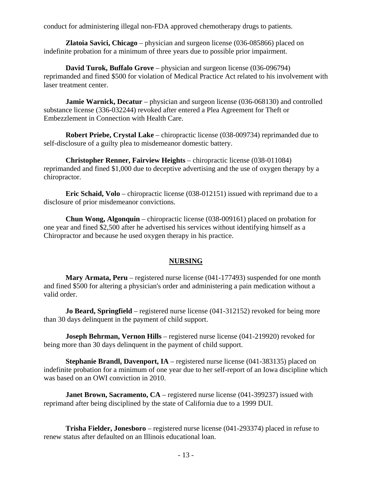conduct for administering illegal non-FDA approved chemotherapy drugs to patients.

 **Zlatoia Savici, Chicago** – physician and surgeon license (036-085866) placed on indefinite probation for a minimum of three years due to possible prior impairment.

 **David Turok, Buffalo Grove** – physician and surgeon license (036-096794) reprimanded and fined \$500 for violation of Medical Practice Act related to his involvement with laser treatment center.

**Jamie Warnick, Decatur** – physician and surgeon license (036-068130) and controlled substance license (336-032244) revoked after entered a Plea Agreement for Theft or Embezzlement in Connection with Health Care.

 **Robert Priebe, Crystal Lake** – chiropractic license (038-009734) reprimanded due to self-disclosure of a guilty plea to misdemeanor domestic battery.

 **Christopher Renner, Fairview Heights** – chiropractic license (038-011084) reprimanded and fined \$1,000 due to deceptive advertising and the use of oxygen therapy by a chiropractor.

 **Eric Schaid, Volo** – chiropractic license (038-012151) issued with reprimand due to a disclosure of prior misdemeanor convictions.

 **Chun Wong, Algonquin** – chiropractic license (038-009161) placed on probation for one year and fined \$2,500 after he advertised his services without identifying himself as a Chiropractor and because he used oxygen therapy in his practice.

#### **NURSING**

 **Mary Armata, Peru** – registered nurse license (041-177493) suspended for one month and fined \$500 for altering a physician's order and administering a pain medication without a valid order.

**Jo Beard, Springfield** – registered nurse license (041-312152) revoked for being more than 30 days delinquent in the payment of child support.

**Joseph Behrman, Vernon Hills** – registered nurse license (041-219920) revoked for being more than 30 days delinquent in the payment of child support.

 **Stephanie Brandl, Davenport, IA** – registered nurse license (041-383135) placed on indefinite probation for a minimum of one year due to her self-report of an Iowa discipline which was based on an OWI conviction in 2010.

**Janet Brown, Sacramento, CA** – registered nurse license (041-399237) issued with reprimand after being disciplined by the state of California due to a 1999 DUI.

 **Trisha Fielder, Jonesboro** – registered nurse license (041-293374) placed in refuse to renew status after defaulted on an Illinois educational loan.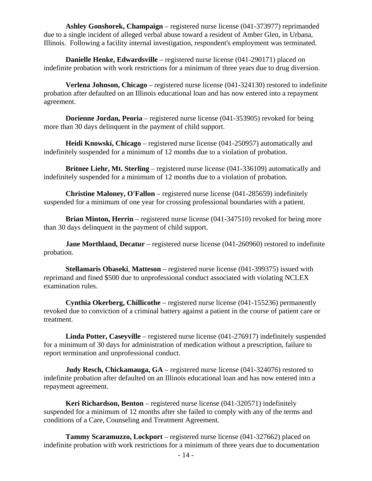**Ashley Gonshorek, Champaign** – registered nurse license (041-373977) reprimanded due to a single incident of alleged verbal abuse toward a resident of Amber Glen, in Urbana, Illinois. Following a facility internal investigation, respondent's employment was terminated.

**Danielle Henke, Edwardsville** – registered nurse license (041-290171) placed on indefinite probation with work restrictions for a minimum of three years due to drug diversion.

 **Verlena Johnson, Chicago** – registered nurse license (041-324130) restored to indefinite probation after defaulted on an Illinois educational loan and has now entered into a repayment agreement.

 **Dorienne Jordan, Peoria** – registered nurse license (041-353905) revoked for being more than 30 days delinquent in the payment of child support.

 **Heidi Knowski, Chicago** – registered nurse license (041-250957) automatically and indefinitely suspended for a minimum of 12 months due to a violation of probation.

 **Britnee Liehr, Mt. Sterling** – registered nurse license (041-336109) automatically and indefinitely suspended for a minimum of 12 months due to a violation of probation.

 **Christine Maloney, O'Fallon** – registered nurse license (041-285659) indefinitely suspended for a minimum of one year for crossing professional boundaries with a patient.

**Brian Minton, Herrin** – registered nurse license (041-347510) revoked for being more than 30 days delinquent in the payment of child support.

**Jane Morthland, Decatur** – registered nurse license (041-260960) restored to indefinite probation.

 **Stellamaris Obaseki**, **Matteson** – registered nurse license (041-399375) issued with reprimand and fined \$500 due to unprofessional conduct associated with violating NCLEX examination rules.

 **Cynthia Okerberg, Chillicothe** – registered nurse license (041-155236) permanently revoked due to conviction of a criminal battery against a patient in the course of patient care or treatment.

 **Linda Potter, Caseyville** – registered nurse license (041-276917) indefinitely suspended for a minimum of 30 days for administration of medication without a prescription, failure to report termination and unprofessional conduct.

**Judy Resch, Chickamauga, GA** – registered nurse license (041-324076) restored to indefinite probation after defaulted on an Illinois educational loan and has now entered into a repayment agreement.

 **Keri Richardson, Benton** – registered nurse license (041-320571) indefinitely suspended for a minimum of 12 months after she failed to comply with any of the terms and conditions of a Care, Counseling and Treatment Agreement.

 **Tammy Scaramuzzo, Lockport** – registered nurse license (041-327662) placed on indefinite probation with work restrictions for a minimum of three years due to documentation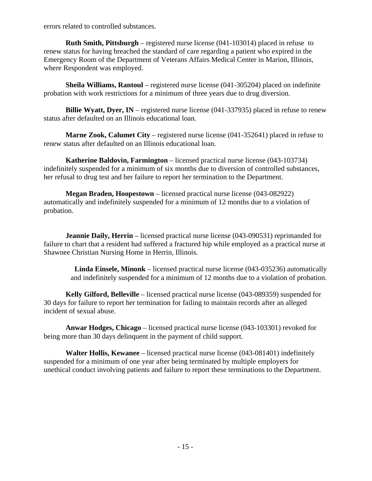errors related to controlled substances.

**Ruth Smith, Pittsburgh** – registered nurse license (041-103014) placed in refuse to renew status for having breached the standard of care regarding a patient who expired in the Emergency Room of the Department of Veterans Affairs Medical Center in Marion, Illinois, where Respondent was employed.

**Sheila Williams, Rantoul** – registered nurse license (041-305204) placed on indefinite probation with work restrictions for a minimum of three years due to drug diversion.

**Billie Wyatt, Dyer, IN** – registered nurse license (041-337935) placed in refuse to renew status after defaulted on an Illinois educational loan.

**Marne Zook, Calumet City** – registered nurse license (041-352641) placed in refuse to renew status after defaulted on an Illinois educational loan.

**Katherine Baldovin, Farmington** – licensed practical nurse license (043-103734) indefinitely suspended for a minimum of six months due to diversion of controlled substances, her refusal to drug test and her failure to report her termination to the Department.

**Megan Braden, Hoopestown** – licensed practical nurse license (043-082922) automatically and indefinitely suspended for a minimum of 12 months due to a violation of probation.

**Jeannie Daily, Herrin** – licensed practical nurse license (043-090531) reprimanded for failure to chart that a resident had suffered a fractured hip while employed as a practical nurse at Shawnee Christian Nursing Home in Herrin, Illinois.

**Linda Einsele, Minonk** – licensed practical nurse license (043-035236) automatically and indefinitely suspended for a minimum of 12 months due to a violation of probation.

**Kelly Gilford, Belleville** – licensed practical nurse license (043-089359) suspended for 30 days for failure to report her termination for failing to maintain records after an alleged incident of sexual abuse.

**Anwar Hodges, Chicago** – licensed practical nurse license (043-103301) revoked for being more than 30 days delinquent in the payment of child support.

**Walter Hollis, Kewanee** – licensed practical nurse license (043-081401) indefinitely suspended for a minimum of one year after being terminated by multiple employers for unethical conduct involving patients and failure to report these terminations to the Department.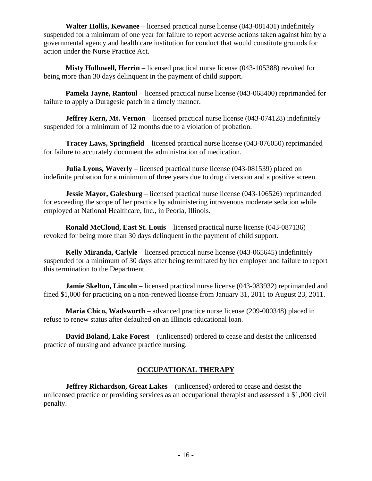**Walter Hollis, Kewanee** – licensed practical nurse license (043-081401) indefinitely suspended for a minimum of one year for failure to report adverse actions taken against him by a governmental agency and health care institution for conduct that would constitute grounds for action under the Nurse Practice Act.

 **Misty Hollowell, Herrin** – licensed practical nurse license (043-105388) revoked for being more than 30 days delinquent in the payment of child support.

**Pamela Jayne, Rantoul** – licensed practical nurse license (043-068400) reprimanded for failure to apply a Duragesic patch in a timely manner.

**Jeffrey Kern, Mt. Vernon** – licensed practical nurse license (043-074128) indefinitely suspended for a minimum of 12 months due to a violation of probation.

**Tracey Laws, Springfield** – licensed practical nurse license (043-076050) reprimanded for failure to accurately document the administration of medication.

 **Julia Lyons, Waverly** – licensed practical nurse license (043-081539) placed on indefinite probation for a minimum of three years due to drug diversion and a positive screen.

**Jessie Mayor, Galesburg** – licensed practical nurse license (043-106526) reprimanded for exceeding the scope of her practice by administering intravenous moderate sedation while employed at National Healthcare, Inc., in Peoria, Illinois.

 **Ronald McCloud, East St. Louis** – licensed practical nurse license (043-087136) revoked for being more than 30 days delinquent in the payment of child support.

 **Kelly Miranda, Ca**r**lyle** – licensed practical nurse license (043-065645) indefinitely suspended for a minimum of 30 days after being terminated by her employer and failure to report this termination to the Department.

**Jamie Skelton, Lincoln** – licensed practical nurse license (043-083932) reprimanded and fined \$1,000 for practicing on a non-renewed license from January 31, 2011 to August 23, 2011.

 **Maria Chico, Wadsworth** – advanced practice nurse license (209-000348) placed in refuse to renew status after defaulted on an Illinois educational loan.

 **David Boland, Lake Forest** – (unlicensed) ordered to cease and desist the unlicensed practice of nursing and advance practice nursing.

# **OCCUPATIONAL THERAPY**

 **Jeffrey Richardson, Great Lakes** – (unlicensed) ordered to cease and desist the unlicensed practice or providing services as an occupational therapist and assessed a \$1,000 civil penalty.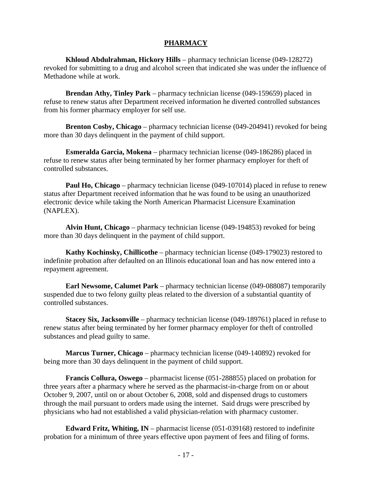#### **PHARMACY**

 **Khloud Abdulrahman, Hickory Hills** – pharmacy technician license (049-128272) revoked for submitting to a drug and alcohol screen that indicated she was under the influence of Methadone while at work.

 **Brendan Athy, Tinley Park** – pharmacy technician license (049-159659) placed in refuse to renew status after Department received information he diverted controlled substances from his former pharmacy employer for self use.

 **Brenton Cosby, Chicago** – pharmacy technician license (049-204941) revoked for being more than 30 days delinquent in the payment of child support.

 **Esmeralda Garcia, Mokena** – pharmacy technician license (049-186286) placed in refuse to renew status after being terminated by her former pharmacy employer for theft of controlled substances.

**Paul Ho, Chicago** – pharmacy technician license (049-107014) placed in refuse to renew status after Department received information that he was found to be using an unauthorized electronic device while taking the North American Pharmacist Licensure Examination (NAPLEX).

 **Alvin Hunt, Chicago** – pharmacy technician license (049-194853) revoked for being more than 30 days delinquent in the payment of child support.

 **Kathy Kochinsky, Chillicothe** – pharmacy technician license (049-179023) restored to indefinite probation after defaulted on an Illinois educational loan and has now entered into a repayment agreement.

 **Earl Newsome, Calumet Park** – pharmacy technician license (049-088087) temporarily suspended due to two felony guilty pleas related to the diversion of a substantial quantity of controlled substances.

 **Stacey Six, Jacksonville** – pharmacy technician license (049-189761) placed in refuse to renew status after being terminated by her former pharmacy employer for theft of controlled substances and plead guilty to same.

 **Marcus Turner, Chicago** – pharmacy technician license (049-140892) revoked for being more than 30 days delinquent in the payment of child support.

 **Francis Collura, Oswego** – pharmacist license (051-288855) placed on probation for three years after a pharmacy where he served as the pharmacist-in-charge from on or about October 9, 2007, until on or about October 6, 2008, sold and dispensed drugs to customers through the mail pursuant to orders made using the internet. Said drugs were prescribed by physicians who had not established a valid physician-relation with pharmacy customer.

 **Edward Fritz, Whiting, IN** – pharmacist license (051-039168) restored to indefinite probation for a minimum of three years effective upon payment of fees and filing of forms.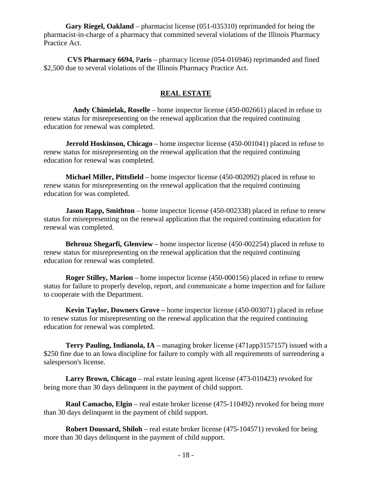**Gary Riegel, Oakland** – pharmacist license (051-035310) reprimanded for being the pharmacist-in-charge of a pharmacy that committed several violations of the Illinois Pharmacy Practice Act.

 **CVS Pharmacy 6694,** P**aris** – pharmacy license (054-016946) reprimanded and fined \$2,500 due to several violations of the Illinois Pharmacy Practice Act.

### **REAL ESTATE**

 **Andy Chimielak, Roselle** – home inspector license (450-002661) placed in refuse to renew status for misrepresenting on the renewal application that the required continuing education for renewal was completed.

**Jerrold Hoskinson, Chicago** – home inspector license (450-001041) placed in refuse to renew status for misrepresenting on the renewal application that the required continuing education for renewal was completed.

 **Michael Miller, Pittsfield** – home inspector license (450-002092) placed in refuse to renew status for misrepresenting on the renewal application that the required continuing education for was completed.

**Jason Rapp, Smithton** – home inspector license (450-002338) placed in refuse to renew status for misrepresenting on the renewal application that the required continuing education for renewal was completed.

 **Behrouz Shegarfi, Glenview** – home inspector license (450-002254) placed in refuse to renew status for misrepresenting on the renewal application that the required continuing education for renewal was completed.

 **Roger Stilley, Marion** – home inspector license (450-000156) placed in refuse to renew status for failure to properly develop, report, and communicate a home inspection and for failure to cooperate with the Department.

**Kevin Taylor, Downers Grove –** home inspector license (450-003071) placed in refuse to renew status for misrepresenting on the renewal application that the required continuing education for renewal was completed.

 **Terry Pauling, Indianola, IA** – managing broker license (471app3157157) issued with a \$250 fine due to an Iowa discipline for failure to comply with all requirements of surrendering a salesperson's license.

 **Larry Brown, Chicago** – real estate leasing agent license (473-010423) revoked for being more than 30 days delinquent in the payment of child support.

 **Raul Camacho, Elgin** – real estate broker license (475-110492) revoked for being more than 30 days delinquent in the payment of child support.

 **Robert Doussard, Shiloh** – real estate broker license (475-104571) revoked for being more than 30 days delinquent in the payment of child support.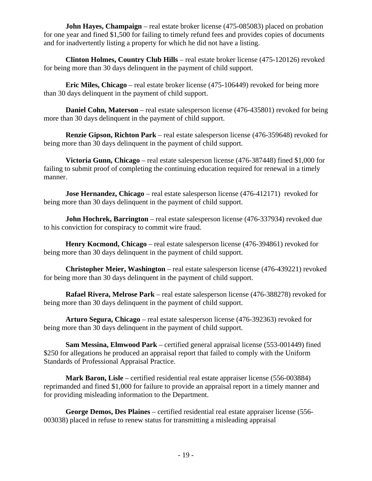**John Hayes, Champaign** – real estate broker license (475-085083) placed on probation for one year and fined \$1,500 for failing to timely refund fees and provides copies of documents and for inadvertently listing a property for which he did not have a listing.

 **Clinton Holmes, Country Club Hills** – real estate broker license (475-120126) revoked for being more than 30 days delinquent in the payment of child support.

 **Eric Miles, Chicago** – real estate broker license (475-106449) revoked for being more than 30 days delinquent in the payment of child support.

 **Daniel Cohn, Materson** – real estate salesperson license (476-435801) revoked for being more than 30 days delinquent in the payment of child support.

 **Renzie Gipson, Richton Park** – real estate salesperson license (476-359648) revoked for being more than 30 days delinquent in the payment of child support.

 **Victoria Gunn, Chicago** – real estate salesperson license (476-387448) fined \$1,000 for failing to submit proof of completing the continuing education required for renewal in a timely manner.

**Jose Hernandez, Chicago** – real estate salesperson license (476-412171) revoked for being more than 30 days delinquent in the payment of child support.

**John Hochrek, Barrington** – real estate salesperson license (476-337934) revoked due to his conviction for conspiracy to commit wire fraud.

 **Henry Kocmond, Chicago** – real estate salesperson license (476-394861) revoked for being more than 30 days delinquent in the payment of child support.

 **Christopher Meier, Washington** – real estate salesperson license (476-439221) revoked for being more than 30 days delinquent in the payment of child support.

 **Rafael Rivera, Melrose Park** – real estate salesperson license (476-388278) revoked for being more than 30 days delinquent in the payment of child support.

 **Arturo Segura, Chicago** – real estate salesperson license (476-392363) revoked for being more than 30 days delinquent in the payment of child support.

 **Sam Messina, Elmwood Park** – certified general appraisal license (553-001449) fined \$250 for allegations he produced an appraisal report that failed to comply with the Uniform Standards of Professional Appraisal Practice.

 **Mark Baron, Lisle** – certified residential real estate appraiser license (556-003884) reprimanded and fined \$1,000 for failure to provide an appraisal report in a timely manner and for providing misleading information to the Department.

 **George Demos, Des Plaines** – certified residential real estate appraiser license (556- 003038) placed in refuse to renew status for transmitting a misleading appraisal